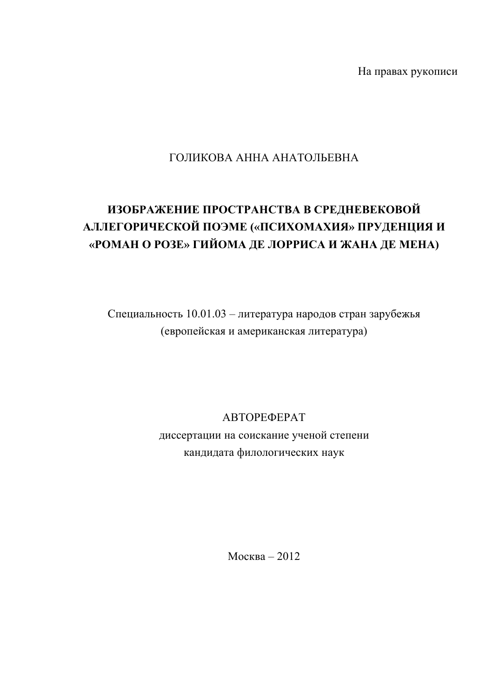На правах рукописи

## ГОЛИКОВА АННА АНАТОЛЬЕВНА

## ИЗОБРАЖЕНИЕ ПРОСТРАНСТВА В СРЕДНЕВЕКОВОЙ АЛЛЕГОРИЧЕСКОЙ ПОЭМЕ («ПСИХОМАХИЯ» ПРУДЕНЦИЯ И «РОМАН О РОЗЕ» ГИЙОМА ДЕ ЛОРРИСА И ЖАНА ДЕ МЕНА)

Специальность 10.01.03 - литература народов стран зарубежья (европейская и американская литература)

**АВТОРЕФЕРАТ** 

диссертации на соискание ученой степени кандидата филологических наук

 $MockB<sub>2</sub> - 2012$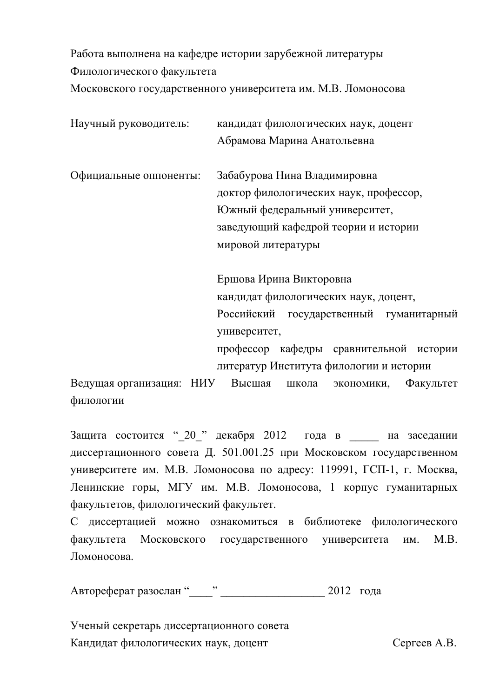Работа выполнена на кафедре истории зарубежной литературы Филологического факультета

Московского государственного университета им. М.В. Ломоносова

Научный руководитель: кандидат филологических наук, доцент Абрамова Марина Анатольевна

Официальные оппоненты: Забабурова Нина Владимировна доктор филологических наук, профессор, Южный федеральный университет, заведующий кафедрой теории и истории мировой литературы

> Ершова Ирина Викторовна кандидат филологических наук, доцент, Российский государственный гуманитарный университет,

профессор кафедры сравнительной истории литератур Института филологии и истории

Ведущая организация: НИУ Высшая школа экономики, Факультет филологии

Защита состоится " 20 " декабря 2012 года в на заседании диссертационного совета Д. 501.001.25 при Московском государственном университете им. М.В. Ломоносова по адресу: 119991, ГСП-1, г. Москва, Ленинские горы, МГУ им. М.В. Ломоносова, 1 корпус гуманитарных факультетов, филологический факультет.

С диссертацией можно ознакомиться в библиотеке филологического  $M.B.$ факультета Московского государственного университета ИМ. Ломоносова

Автореферат разослан " " 2012 года

Ученый секретарь диссертационного совета Кандидат филологических наук, доцент

Сергеев А.В.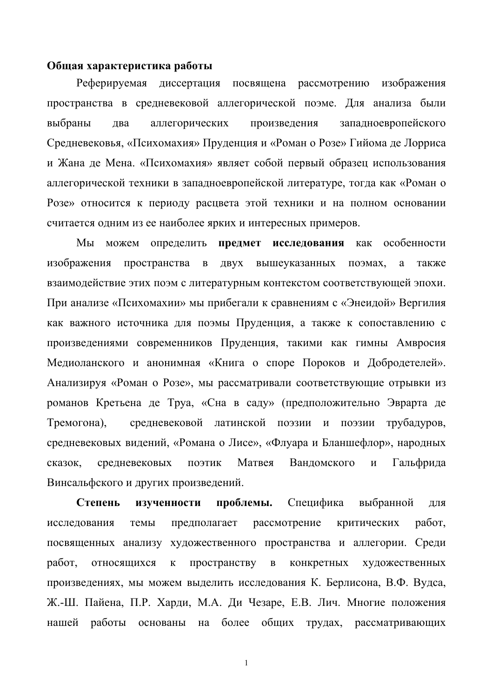## Общая характеристика работы

посвящена рассмотрению Реферируемая диссертация изображения пространства в средневековой аллегорической поэме. Для анализа были выбраны лва аллегорических произведения западноевропейского Средневековья, «Психомахия» Пруденция и «Роман о Розе» Гийома де Лорриса и Жана де Мена. «Психомахия» являет собой первый образец использования аллегорической техники в западноевропейской литературе, тогда как «Роман о Розе» относится к периоду расцвета этой техники и на полном основании считается одним из ее наиболее ярких и интересных примеров.

Мы можем предмет исследования как особенности определить изображения пространства  $\mathbf{B}$ двух вышеуказанных поэмах. a также взаимодействие этих поэм с литературным контекстом соответствующей эпохи. При анализе «Психомахии» мы прибегали к сравнениям с «Энеидой» Вергилия как важного источника для поэмы Пруденция, а также к сопоставлению с произведениями современников Пруденция, такими как гимны Амвросия Медиоланского и анонимная «Книга о споре Пороков и Добродетелей». Анализируя «Роман о Розе», мы рассматривали соответствующие отрывки из романов Кретьена де Труа, «Сна в саду» (предположительно Эврарта де средневековой латинской поэзии и поэзии трубадуров, Тремогона). средневековых видений, «Романа о Лисе», «Флуара и Бланшефлор», народных Вандомского сказок. средневековых поэтик Матвея  $\mathbf{M}$ Гальфрида Винсальфского и других произведений.

Степень изученности проблемы. Специфика выбранной ЛЛЯ предполагает рассмотрение исследования темы критических работ. посвященных анализу художественного пространства и аллегории. Среди работ. относяшихся  $\mathbf{K}$ пространству  $\overline{B}$ конкретных художественных произведениях, мы можем выделить исследования К. Берлисона, В.Ф. Вудса, Ж.-Ш. Пайена, П.Р. Харди, М.А. Ди Чезаре, Е.В. Лич. Многие положения нашей работы основаны на более общих трудах, рассматривающих

 $\mathbf{1}$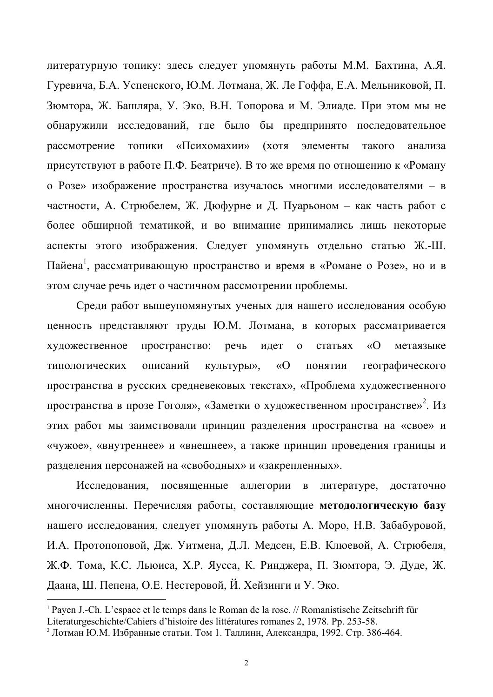литературную топику: здесь следует упомянуть работы М.М. Бахтина, А.Я. Гуревича, Б.А. Успенского, Ю.М. Лотмана, Ж. Ле Гоффа, Е.А. Мельниковой, П. Зюмтора, Ж. Башляра, У. Эко, В.Н. Топорова и М. Элиаде. При этом мы не обнаружили исследований, где было бы предпринято последовательное рассмотрение топики «Психомахии» (хотя элементы такого анализа присутствуют в работе П.Ф. Беатриче). В то же время по отношению к «Роману о Розе» изображение пространства изучалось многими исследователями - в частности, А. Стрюбелем, Ж. Дюфурне и Д. Пуарьоном - как часть работ с более обширной тематикой, и во внимание принимались лишь некоторые аспекты этого изображения. Следует упомянуть отдельно статью Ж.-Ш. Пайена<sup>1</sup>, рассматривающую пространство и время в «Романе о Розе», но и в этом случае речь идет о частичном рассмотрении проблемы.

Среди работ вышеупомянутых ученых для нашего исследования особую ценность представляют труды Ю.М. Лотмана, в которых рассматривается художественное пространство: речь идет о статьях «О метаязыке типологических описаний культуры», «О понятии географического пространства в русских средневековых текстах», «Проблема художественного пространства в прозе Гоголя», «Заметки о художественном пространстве»<sup>2</sup>. Из этих работ мы заимствовали принцип разделения пространства на «свое» и «чужое», «внутреннее» и «внешнее», а также принцип проведения границы и разделения персонажей на «свободных» и «закрепленных».

Исследования, посвященные аллегории в литературе, достаточно многочисленны. Перечисляя работы, составляющие методологическую базу нашего исследования, следует упомянуть работы А. Моро, Н.В. Забабуровой, И.А. Протопоповой, Дж. Уитмена, Д.Л. Медсен, Е.В. Клюевой, А. Стрюбеля, Ж.Ф. Тома, К.С. Льюиса, Х.Р. Яусса, К. Ринджера, П. Зюмтора, Э. Дуде, Ж. Даана, Ш. Пепена, О.Е. Нестеровой, Й. Хейзинги и У. Эко.

 <sup>1</sup> Payen J.-Ch. L'espace et le temps dans le Roman de la rose. // Romanistische Zeitschrift für Literaturgeschichte/Cahiers d'histoire des littératures romanes 2, 1978. Pp. 253-58.

<sup>&</sup>lt;sup>2</sup> Лотман Ю.М. Избранные статьи. Том 1. Таллинн, Александра, 1992. Стр. 386-464.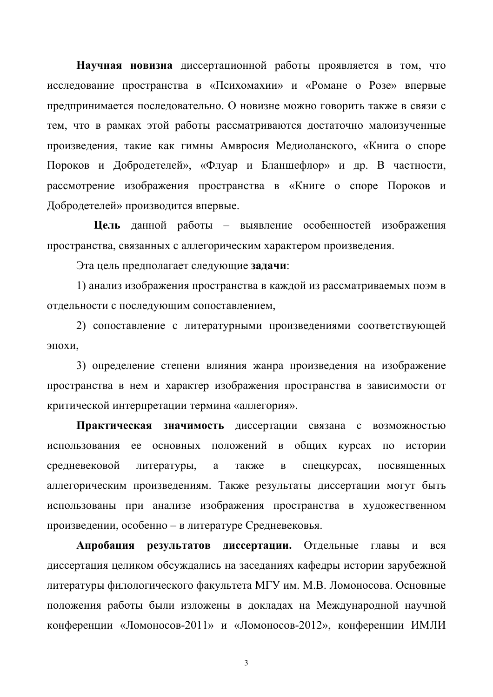Научная новизна диссертационной работы проявляется в том, что исследование пространства в «Психомахии» и «Романе о Розе» впервые предпринимается последовательно. О новизне можно говорить также в связи с тем, что в рамках этой работы рассматриваются достаточно малоизученные произведения, такие как гимны Амвросия Медиоланского, «Книга о споре Пороков и Добродетелей», «Флуар и Бланшефлор» и др. В частности, рассмотрение изображения пространства в «Книге о споре Пороков и Добродетелей» производится впервые.

Цель данной работы - выявление особенностей изображения пространства, связанных с аллегорическим характером произведения.

Эта цель предполагает следующие задачи:

1) анализ изображения пространства в каждой из рассматриваемых поэм в отдельности с последующим сопоставлением,

2) сопоставление с литературными произведениями соответствующей эпохи.

3) определение степени влияния жанра произведения на изображение пространства в нем и характер изображения пространства в зависимости от критической интерпретации термина «аллегория».

Практическая значимость диссертации связана с возможностью использования ее основных положений в общих курсах по истории средневековой литературы, a также  $\bf{B}$ спецкурсах, посвященных аллегорическим произведениям. Также результаты диссертации могут быть использованы при анализе изображения пространства в художественном произведении, особенно - в литературе Средневековья.

Апробация результатов диссертации. Отдельные главы  $\overline{M}$ вся диссертация целиком обсуждались на заседаниях кафедры истории зарубежной литературы филологического факультета МГУ им. М.В. Ломоносова. Основные положения работы были изложены в докладах на Международной научной конференции «Ломоносов-2011» и «Ломоносов-2012», конференции ИМЛИ

 $\overline{3}$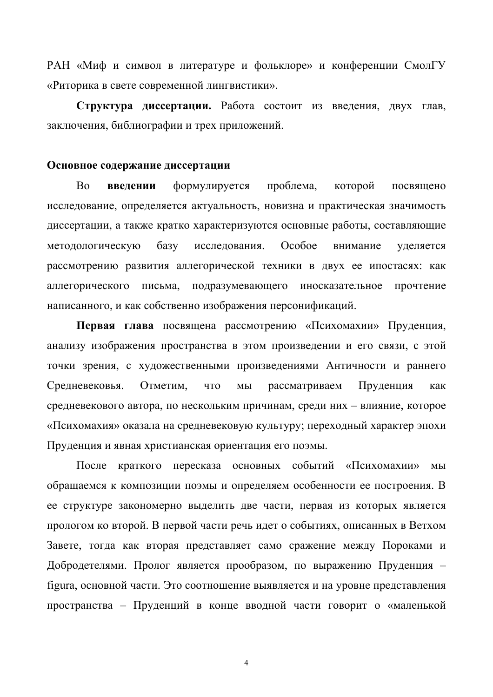РАН «Миф и символ в литературе и фольклоре» и конференции СмолГУ «Риторика в свете современной лингвистики».

Структура диссертации. Работа состоит из введения, двух глав, заключения, библиографии и трех приложений.

## Основное содержание диссертации

**Bo** введении формулируется проблема, которой посвящено исследование, определяется актуальность, новизна и практическая значимость диссертации, а также кратко характеризуются основные работы, составляющие методологическую базу исследования. Ocoбoe внимание уделяется рассмотрению развития аллегорической техники в двух ее ипостасях: как аллегорического письма, подразумевающего иносказательное прочтение написанного, и как собственно изображения персонификаций.

Первая глава посвящена рассмотрению «Психомахии» Пруденция, анализу изображения пространства в этом произведении и его связи, с этой точки зрения, с художественными произведениями Античности и раннего Средневековья. Отметим. рассматриваем **что** MЫ Пруденция как средневекового автора, по нескольким причинам, среди них - влияние, которое «Психомахия» оказала на средневековую культуру; переходный характер эпохи Пруденция и явная христианская ориентация его поэмы.

После краткого пересказа основных событий «Психомахии» MЫ обращаемся к композиции поэмы и определяем особенности ее построения. В ее структуре закономерно выделить две части, первая из которых является прологом ко второй. В первой части речь идет о событиях, описанных в Ветхом Завете, тогда как вторая представляет само сражение между Пороками и Добродетелями. Пролог является прообразом, по выражению Пруденция figura, основной части. Это соотношение выявляется и на уровне представления пространства - Пруденций в конце вводной части говорит о «маленькой

 $\overline{4}$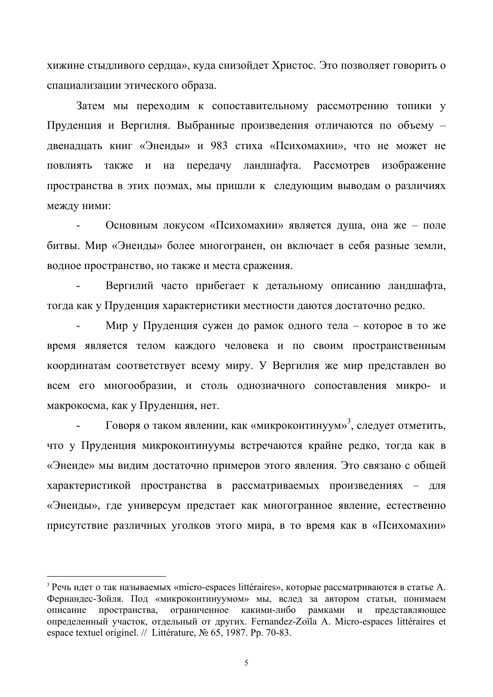хижине стыдливого сердца», куда снизойдет Христос. Это позволяет говорить о спациализации этического образа.

Затем мы переходим к сопоставительному рассмотрению топики у Пруденция и Вергилия. Выбранные произведения отличаются по объему двенадцать книг «Энеиды» и 983 стиха «Психомахии», что не может не передачу ландшафта. Рассмотрев изображение также и на ПОВЛИЯТЬ пространства в этих поэмах, мы пришли к следующим выводам о различиях между ними:

Основным локусом «Психомахии» является душа, она же - поле битвы. Мир «Энеиды» более многогранен, он включает в себя разные земли, водное пространство, но также и места сражения.

Вергилий часто прибегает к детальному описанию ландшафта, тогда как у Пруденция характеристики местности даются достаточно редко.

Мир у Пруденция сужен до рамок одного тела - которое в то же время является телом каждого человека и по своим пространственным координатам соответствует всему миру. У Вергилия же мир представлен во всем его многообразии, и столь однозначного сопоставления микро- и макрокосма, как у Пруденция, нет.

Говоря о таком явлении, как «микроконтинуум»<sup>3</sup>, следует отметить, что у Пруденция микроконтинуумы встречаются крайне редко, тогда как в «Энеиде» мы видим достаточно примеров этого явления. Это связано с общей характеристикой пространства в рассматриваемых произведениях - для «Энеиды», где универсум предстает как многогранное явление, естественно присутствие различных уголков этого мира, в то время как в «Психомахии»

<sup>&</sup>lt;sup>3</sup> Речь идет о так называемых «micro-espaces littéraires», которые рассматриваются в статье A. Фернандес-Зойля. Под «микроконтинуумом» мы, вслед за автором статьи, понимаем пространства. ограниченное какими-либо рамками описание  $\mathbf{H}$ представляющее определенный участок, отдельный от других. Fernandez-Zoïla A. Micro-espaces littéraires et espace textuel originel. // Littérature, № 65, 1987. Pp. 70-83.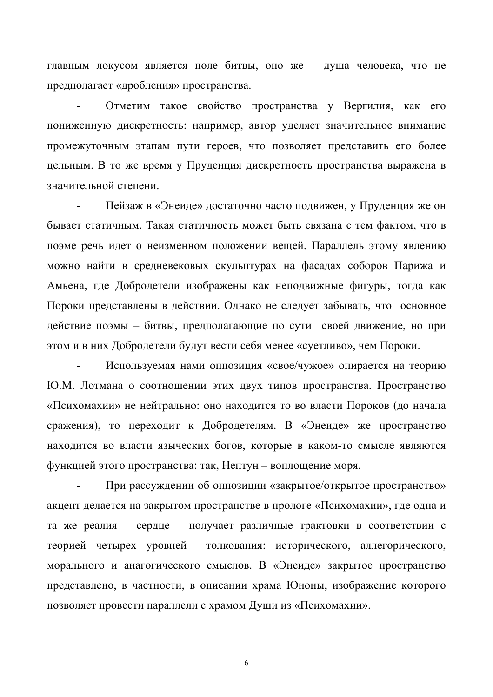главным локусом является поле битвы, оно же - душа человека, что не предполагает «дробления» пространства.

Отметим такое свойство пространства у Вергилия, как его пониженную дискретность: например, автор уделяет значительное внимание промежуточным этапам пути героев, что позволяет представить его более цельным. В то же время у Пруденция дискретность пространства выражена в значительной степени.

Пейзаж в «Энеиде» достаточно часто подвижен, у Пруденция же он бывает статичным. Такая статичность может быть связана с тем фактом, что в поэме речь идет о неизменном положении вещей. Параллель этому явлению можно найти в средневековых скульптурах на фасадах соборов Парижа и Амьена, где Добродетели изображены как неподвижные фигуры, тогда как Пороки представлены в действии. Однако не следует забывать, что основное действие поэмы - битвы, предполагающие по сути своей движение, но при этом и в них Добродетели будут вести себя менее «суетливо», чем Пороки.

Используемая нами оппозиция «свое/чужое» опирается на теорию Ю.М. Лотмана о соотношении этих двух типов пространства. Пространство «Психомахии» не нейтрально: оно находится то во власти Пороков (до начала сражения), то переходит к Добродетелям. В «Энеиде» же пространство находится во власти языческих богов, которые в каком-то смысле являются функцией этого пространства: так, Нептун - воплощение моря.

При рассуждении об оппозиции «закрытое/открытое пространство» акцент делается на закрытом пространстве в прологе «Психомахии», где одна и та же реалия - сердце - получает различные трактовки в соответствии с теорией четырех уровней толкования: исторического, аллегорического, морального и анагогического смыслов. В «Энеиде» закрытое пространство представлено, в частности, в описании храма Юноны, изображение которого позволяет провести параллели с храмом Души из «Психомахии».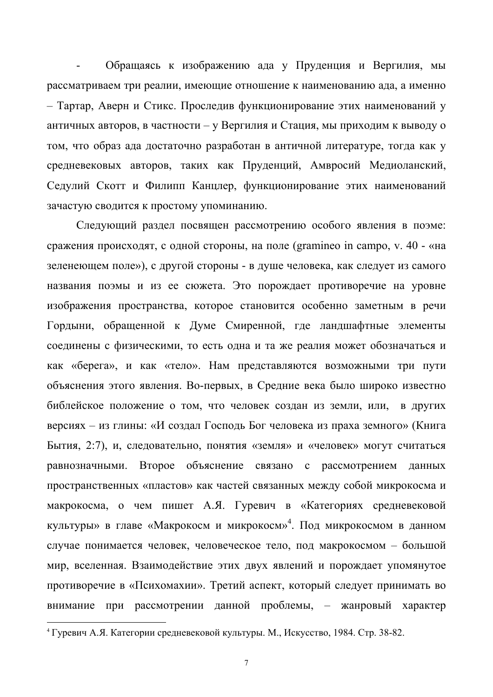Обращаясь к изображению ада у Пруденция и Вергилия, мы рассматриваем три реалии, имеющие отношение к наименованию ада, а именно - Тартар, Аверн и Стикс. Проследив функционирование этих наименований у античных авторов, в частности – у Вергилия и Стация, мы приходим к выводу о том, что образ ада достаточно разработан в античной литературе, тогда как у средневековых авторов, таких как Пруденций, Амвросий Медиоланский, Седулий Скотт и Филипп Канцлер, функционирование этих наименований зачастую сводится к простому упоминанию.

Следующий раздел посвящен рассмотрению особого явления в поэме: сражения происходят, с одной стороны, на поле (gramineo in campo, v. 40 - «на зеленеющем поле»), с другой стороны - в душе человека, как следует из самого названия поэмы и из ее сюжета. Это порождает противоречие на уровне изображения пространства, которое становится особенно заметным в речи Гордыни, обращенной к Думе Смиренной, где ландшафтные элементы соединены с физическими, то есть одна и та же реалия может обозначаться и как «берега», и как «тело». Нам представляются возможными три пути объяснения этого явления. Во-первых, в Средние века было широко известно библейское положение о том, что человек создан из земли, или, в других версиях – из глины: «И создал Господь Бог человека из праха земного» (Книга Бытия, 2:7), и, следовательно, понятия «земля» и «человек» могут считаться равнозначными. Второе объяснение связано с рассмотрением данных пространственных «пластов» как частей связанных между собой микрокосма и макрокосма, о чем пишет А.Я. Гуревич в «Категориях средневековой культуры» в главе «Макрокосм и микрокосм»<sup>4</sup>. Под микрокосмом в данном случае понимается человек, человеческое тело, под макрокосмом - большой мир, вселенная. Взаимодействие этих двух явлений и порождает упомянутое противоречие в «Психомахии». Третий аспект, который следует принимать во внимание при рассмотрении данной проблемы, - жанровый характер

<sup>4</sup> Гуревич А.Я. Категории средневековой культуры. М., Искусство, 1984. Стр. 38-82.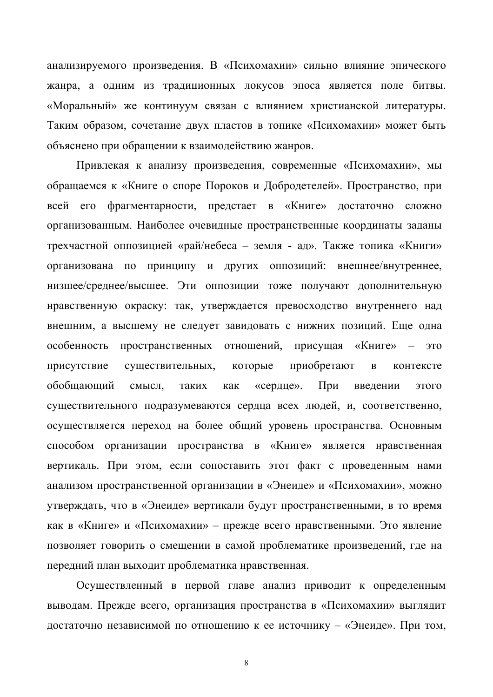анализируемого произведения. В «Психомахии» сильно влияние эпического жанра, а одним из традиционных локусов эпоса является поле битвы. «Моральный» же континуум связан с влиянием христианской литературы. Таким образом, сочетание двух пластов в топике «Психомахии» может быть объяснено при обращении к взаимодействию жанров.

Привлекая к анализу произведения, современные «Психомахии», мы обращаемся к «Книге о споре Пороков и Добродетелей». Пространство, при всей его фрагментарности, предстает в «Книге» достаточно сложно организованным. Наиболее очевидные пространственные координаты заданы трехчастной оппозицией «рай/небеса - земля - ад». Также топика «Книги» организована по принципу и других оппозиций: внешнее/внутреннее, низшее/среднее/высшее. Эти оппозиции тоже получают дополнительную нравственную окраску: так, утверждается превосходство внутреннего над внешним, а высшему не следует завидовать с нижних позиций. Еще одна пространственных отношений, присущая «Книге» особенность ЭТО присутствие существительных, которые приобретают  $\overline{B}$ контексте «сердце». При обобшаюший смысл. таких как введении этого существительного подразумеваются сердца всех людей, и, соответственно, осуществляется переход на более общий уровень пространства. Основным способом организации пространства в «Книге» является нравственная вертикаль. При этом, если сопоставить этот факт с проведенным нами анализом пространственной организации в «Энеиде» и «Психомахии», можно утверждать, что в «Энеиде» вертикали будут пространственными, в то время как в «Книге» и «Психомахии» - прежде всего нравственными. Это явление позволяет говорить о смещении в самой проблематике произведений, где на передний план выходит проблематика нравственная.

Осуществленный в первой главе анализ приводит к определенным выводам. Прежде всего, организация пространства в «Психомахии» выглядит достаточно независимой по отношению к ее источнику - «Энеиде». При том,

 $\,8\,$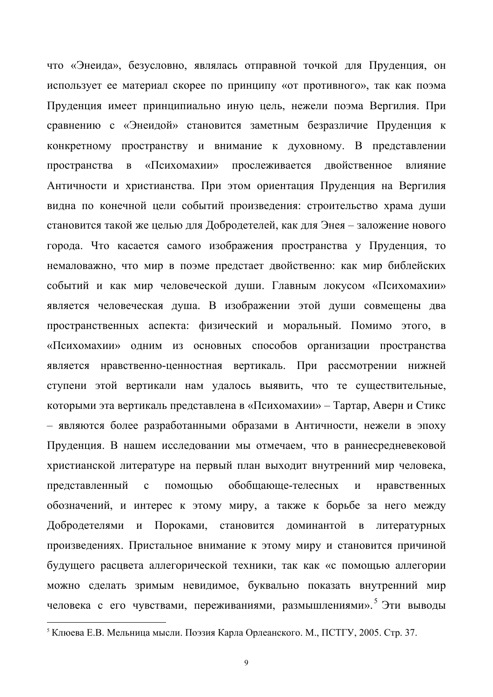что «Энеида», безусловно, являлась отправной точкой для Пруденция, он использует ее материал скорее по принципу «от противного», так как поэма Пруденция имеет принципиально иную цель, нежели поэма Вергилия. При сравнению с «Энеидой» становится заметным безразличие Пруденция к конкретному пространству и внимание к духовному. В представлении пространства в «Психомахии» прослеживается двойственное влияние Античности и христианства. При этом ориентация Пруденция на Вергилия видна по конечной цели событий произведения: строительство храма души становится такой же целью для Добродетелей, как для Энея - заложение нового города. Что касается самого изображения пространства у Пруденция, то немаловажно, что мир в поэме предстает двойственно: как мир библейских событий и как мир человеческой души. Главным локусом «Психомахии» является человеческая душа. В изображении этой души совмещены два пространственных аспекта: физический и моральный. Помимо этого, в «Психомахии» одним из основных способов организации пространства является нравственно-ценностная вертикаль. При рассмотрении нижней ступени этой вертикали нам удалось выявить, что те существительные, которыми эта вертикаль представлена в «Психомахии» - Тартар, Аверн и Стикс - являются более разработанными образами в Античности, нежели в эпоху Пруденция. В нашем исследовании мы отмечаем, что в раннесредневековой христианской литературе на первый план выходит внутренний мир человека, представленный ПОМОШЬЮ обобшающе-телесных  $\mathbf{c}$  $\overline{\mathbf{M}}$ нравственных обозначений, и интерес к этому миру, а также к борьбе за него между Пороками, становится доминантой в литературных Лобродетелями и произведениях. Пристальное внимание к этому миру и становится причиной будущего расцвета аллегорической техники, так как «с помощью аллегории можно сделать зримым невидимое, буквально показать внутренний мир человека с его чувствами, переживаниями, размышлениями». Эти выводы

<sup>&</sup>lt;sup>5</sup> Клюева Е.В. Мельница мысли. Поэзия Карла Орлеанского. М., ПСТГУ, 2005. Стр. 37.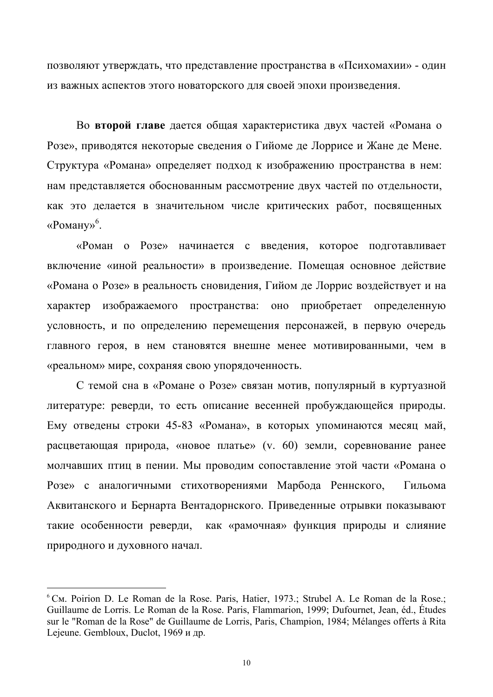позволяют утверждать, что представление пространства в «Психомахии» - один из важных аспектов этого новаторского для своей эпохи произведения.

Во **второй главе** дается общая характеристика двух частей «Романа о Розе», приводятся некоторые сведения о Гийоме де Лоррисе и Жане де Мене. Структура «Романа» определяет подход к изображению пространства в нем: нам представляется обоснованным рассмотрение двух частей по отдельности, как это делается в значительном числе критических работ, посвященных «Роману» $6$ .

«Роман о Розе» начинается с введения, которое подготавливает включение «иной реальности» в произведение. Помещая основное действие «Романа о Розе» в реальность сновидения, Гийом де Лоррис воздействует и на характер изображаемого пространства: оно приобретает определенную условность, и по определению перемещения персонажей, в первую очередь главного героя, в нем становятся внешне менее мотивированными, чем в «реальном» мире, сохраняя свою упорядоченность.

С темой сна в «Романе о Розе» связан мотив, популярный в куртуазной литературе: реверди, то есть описание весенней пробуждающейся природы. Ему отведены строки 45-83 «Романа», в которых упоминаются месяц май, расцветающая природа, «новое платье» (v. 60) земли, соревнование ранее молчавших птиц в пении. Мы проводим сопоставление этой части «Романа о Розе» с аналогичными стихотворениями Марбода Реннского, Гильома Аквитанского и Бернарта Вентадорнского. Приведенные отрывки показывают такие особенности реверди, как «рамочная» функция природы и слияние природного и духовного начал.

<sup>&</sup>lt;sup>6</sup> CM. Poirion D. Le Roman de la Rose. Paris, Hatier, 1973.; Strubel A. Le Roman de la Rose.; Guillaume de Lorris. Le Roman de la Rose. Paris, Flammarion, 1999; Dufournet, Jean, éd., Études sur le "Roman de la Rose" de Guillaume de Lorris, Paris, Champion, 1984; Mélanges offerts à Rita Lejeune. Gembloux, Duclot, 1969 и др.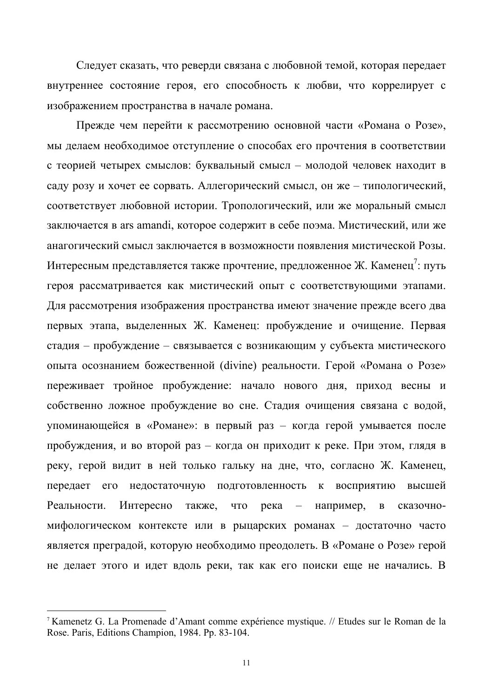Следует сказать, что реверди связана с любовной темой, которая передает внутреннее состояние героя, его способность к любви, что коррелирует с изображением пространства в начале романа.

Прежде чем перейти к рассмотрению основной части «Романа о Розе», мы делаем необходимое отступление о способах его прочтения в соответствии с теорией четырех смыслов: буквальный смысл - молодой человек находит в саду розу и хочет ее сорвать. Аллегорический смысл, он же - типологический, соответствует любовной истории. Тропологический, или же моральный смысл заключается в ars amandi, которое содержит в себе поэма. Мистический, или же анагогический смысл заключается в возможности появления мистической Розы. Интересным представляется также прочтение, предложенное Ж. Каменец': путь героя рассматривается как мистический опыт с соответствующими этапами. Для рассмотрения изображения пространства имеют значение прежде всего два первых этапа, выделенных Ж. Каменец: пробуждение и очищение. Первая стадия - пробуждение - связывается с возникающим у субъекта мистического опыта осознанием божественной (divine) реальности. Герой «Романа о Розе» переживает тройное пробуждение: начало нового дня, приход весны и собственно ложное пробуждение во сне. Стадия очищения связана с водой, упоминающейся в «Романе»: в первый раз - когда герой умывается после пробуждения, и во второй раз - когда он приходит к реке. При этом, глядя в реку, герой видит в ней только гальку на дне, что, согласно Ж. Каменец, передает его недостаточную подготовленность к восприятию высшей Реальности. Интересно также. **ЧТО** река например.  $\overline{B}$ сказочномифологическом контексте или в рыцарских романах - достаточно часто является преградой, которую необходимо преодолеть. В «Романе о Розе» герой не делает этого и идет вдоль реки, так как его поиски еще не начались. В

<sup>&</sup>lt;sup>7</sup> Kamenetz G. La Promenade d'Amant comme expérience mystique. // Etudes sur le Roman de la Rose. Paris, Editions Champion, 1984. Pp. 83-104.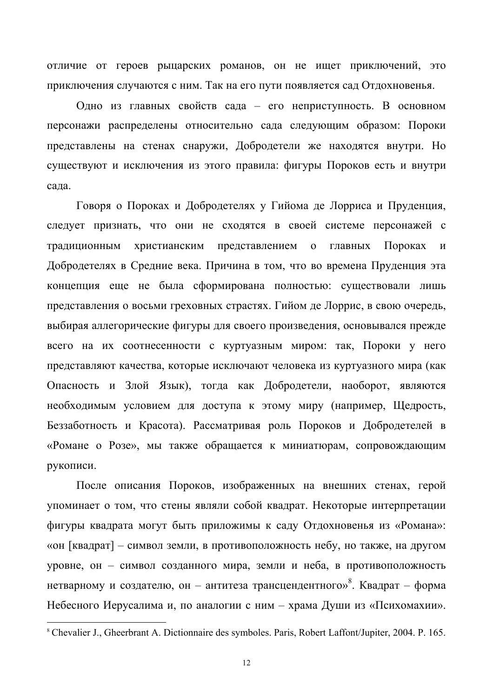отличие от героев рыцарских романов, он не ищет приключений, это приключения случаются с ним. Так на его пути появляется сад Отдохновенья.

Одно из главных свойств сада - его неприступность. В основном персонажи распределены относительно сада следующим образом: Пороки представлены на стенах снаружи, Добродетели же находятся внутри. Но существуют и исключения из этого правила: фигуры Пороков есть и внутри сада.

Говоря о Пороках и Добродетелях у Гийома де Лорриса и Пруденция, следует признать, что они не сходятся в своей системе персонажей с христианским представлением  $\Omega$ главных Пороках традиционным  $\boldsymbol{M}$ Добродетелях в Средние века. Причина в том, что во времена Пруденция эта концепция еще не была сформирована полностью: существовали лишь представления о восьми греховных страстях. Гийом де Лоррис, в свою очередь, выбирая аллегорические фигуры для своего произведения, основывался прежде всего на их соотнесенности с куртуазным миром: так, Пороки у него представляют качества, которые исключают человека из куртуазного мира (как Опасность и Злой Язык), тогда как Добродетели, наоборот, являются необходимым условием для доступа к этому миру (например, Щедрость, Беззаботность и Красота). Рассматривая роль Пороков и Добродетелей в «Романе о Розе», мы также обращается к миниатюрам, сопровождающим рукописи.

После описания Пороков, изображенных на внешних стенах, герой упоминает о том, что стены являли собой квадрат. Некоторые интерпретации фигуры квадрата могут быть приложимы к саду Отдохновенья из «Романа»: «он [квадрат] – символ земли, в противоположность небу, но также, на другом уровне, он - символ созданного мира, земли и неба, в противоположность нетварному и создателю, он – антитеза трансцендентного»<sup>8</sup>. Квадрат – форма Небесного Иерусалима и, по аналогии с ним - храма Души из «Психомахии».

<sup>&</sup>lt;sup>8</sup> Chevalier J., Gheerbrant A. Dictionnaire des symboles. Paris, Robert Laffont/Jupiter, 2004. P. 165.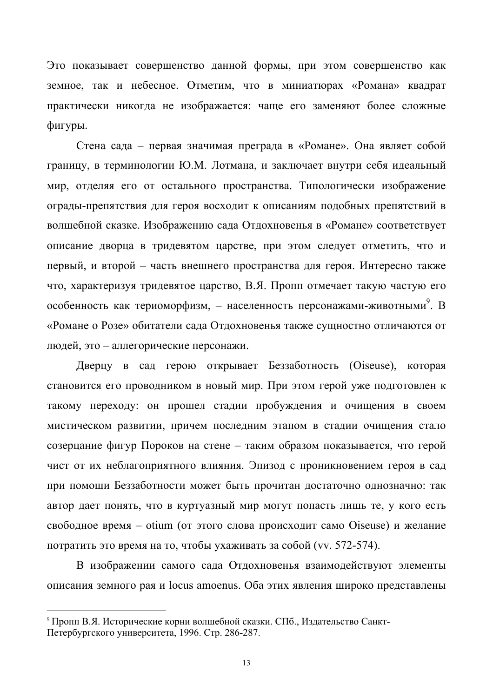Это показывает совершенство данной формы, при этом совершенство как земное, так и небесное. Отметим, что в миниатюрах «Романа» квадрат практически никогда не изображается: чаще его заменяют более сложные фигуры.

Стена сада – первая значимая преграда в «Романе». Она являет собой границу, в терминологии Ю.М. Лотмана, и заключает внутри себя идеальный мир, отделяя его от остального пространства. Типологически изображение ограды-препятствия для героя восходит к описаниям подобных препятствий в волшебной сказке. Изображению сада Отдохновенья в «Романе» соответствует описание дворца в тридевятом царстве, при этом следует отметить, что и первый, и второй - часть внешнего пространства для героя. Интересно также что, характеризуя тридевятое царство, В.Я. Пропп отмечает такую частую его особенность как териоморфизм, - населенность персонажами-животными<sup>9</sup>. В «Романе о Розе» обитатели сада Отдохновенья также сущностно отличаются от людей, это - аллегорические персонажи.

Дверцу в сад герою открывает Беззаботность (Oiseuse), которая становится его проводником в новый мир. При этом герой уже подготовлен к такому переходу: он прошел стадии пробуждения и очищения в своем мистическом развитии, причем последним этапом в стадии очищения стало созерцание фигур Пороков на стене - таким образом показывается, что герой чист от их неблагоприятного влияния. Эпизод с проникновением героя в сад при помощи Беззаботности может быть прочитан достаточно однозначно: так автор дает понять, что в куртуазный мир могут попасть лишь те, у кого есть свободное время – otium (от этого слова происходит само Oiseuse) и желание потратить это время на то, чтобы ухаживать за собой (vv. 572-574).

В изображении самого сада Отдохновенья взаимодействуют элементы описания земного рая и locus amoenus. Оба этих явления широко представлены

<sup>&</sup>lt;sup>9</sup> Пропп В.Я. Исторические корни волшебной сказки. СПб., Издательство Санкт-Петербургского университета, 1996. Стр. 286-287.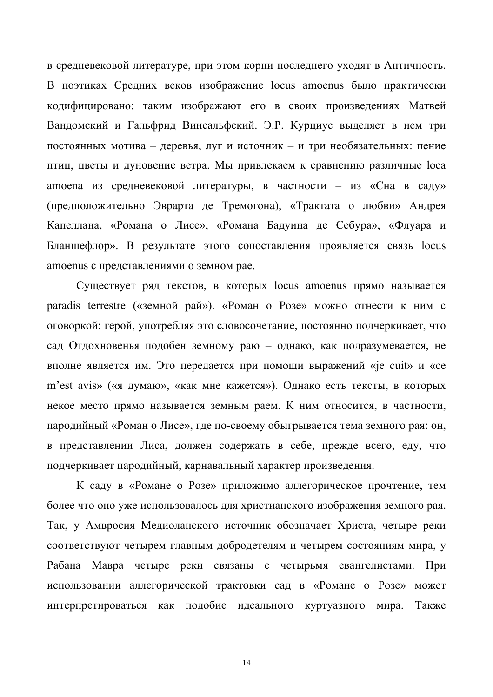в средневековой литературе, при этом корни последнего уходят в Античность. В поэтиках Средних веков изображение locus amoenus было практически кодифицировано: таким изображают его в своих произведениях Матвей Вандомский и Гальфрид Винсальфский. Э.Р. Курциус выделяет в нем три постоянных мотива - деревья, луг и источник - и три необязательных: пение птиц, цветы и дуновение ветра. Мы привлекаем к сравнению различные loca amoena из средневековой литературы, в частности - из «Сна в саду» (предположительно Эврарта де Тремогона), «Трактата о любви» Андрея Капеллана, «Романа о Лисе», «Романа Бадуина де Себура», «Флуара и Бланшефлор». В результате этого сопоставления проявляется связь locus amoenus с представлениями о земном рае.

Существует ряд текстов, в которых locus amoenus прямо называется paradis terrestre («земной рай»). «Роман о Розе» можно отнести к ним с оговоркой: герой, употребляя это словосочетание, постоянно подчеркивает, что сад Отдохновенья подобен земному раю - однако, как подразумевается, не вполне является им. Это передается при помощи выражений «je cuit» и «се m'est avis» («я думаю», «как мне кажется»). Однако есть тексты, в которых некое место прямо называется земным раем. К ним относится, в частности, пародийный «Роман о Лисе», где по-своему обыгрывается тема земного рая: он, в представлении Лиса, должен содержать в себе, прежде всего, еду, что подчеркивает пародийный, карнавальный характер произведения.

К саду в «Романе о Розе» приложимо аллегорическое прочтение, тем более что оно уже использовалось для христианского изображения земного рая. Так, у Амвросия Медиоланского источник обозначает Христа, четыре реки соответствуют четырем главным добродетелям и четырем состояниям мира, у Рабана Мавра четыре реки связаны с четырьмя евангелистами. При использовании аллегорической трактовки сад в «Романе о Розе» может интерпретироваться как подобие идеального куртуазного мира. Также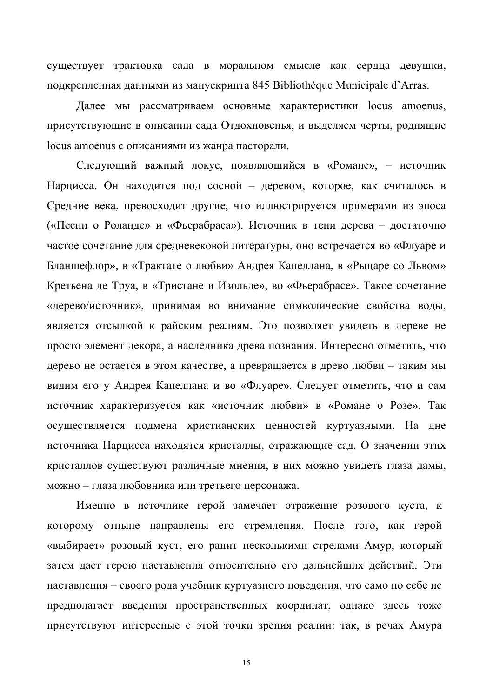существует трактовка сада в моральном смысле как сердца девушки, подкрепленная данными из манускрипта 845 Bibliothèque Municipale d'Arras.

Далее мы рассматриваем основные характеристики locus amoenus, присутствующие в описании сада Отдохновенья, и выделяем черты, роднящие locus amoenus с описаниями из жанра пасторали.

Следующий важный локус, появляющийся в «Романе», - источник Нарцисса. Он находится под сосной - деревом, которое, как считалось в Средние века, превосходит другие, что иллюстрируется примерами из эпоса («Песни о Роланде» и «Фьерабраса»). Источник в тени дерева – достаточно частое сочетание для средневековой литературы, оно встречается во «Флуаре и Бланшефлор», в «Трактате о любви» Андрея Капеллана, в «Рыцаре со Львом» Кретьена де Труа, в «Тристане и Изольде», во «Фьерабрасе». Такое сочетание «дерево/источник», принимая во внимание символические свойства воды, является отсылкой к райским реалиям. Это позволяет увидеть в дереве не просто элемент декора, а наследника древа познания. Интересно отметить, что дерево не остается в этом качестве, а превращается в древо любви - таким мы видим его у Андрея Капеллана и во «Флуаре». Следует отметить, что и сам источник характеризуется как «источник любви» в «Романе о Розе». Так осуществляется подмена христианских ценностей куртуазными. На дне источника Нарцисса находятся кристаллы, отражающие сад. О значении этих кристаллов существуют различные мнения, в них можно увидеть глаза дамы, можно - глаза любовника или третьего персонажа.

Именно в источнике герой замечает отражение розового куста, к которому отныне направлены его стремления. После того, как герой «выбирает» розовый куст, его ранит несколькими стрелами Амур, который затем дает герою наставления относительно его дальнейших действий. Эти наставления - своего рода учебник куртуазного поведения, что само по себе не предполагает введения пространственных координат, однако здесь тоже присутствуют интересные с этой точки зрения реалии: так, в речах Амура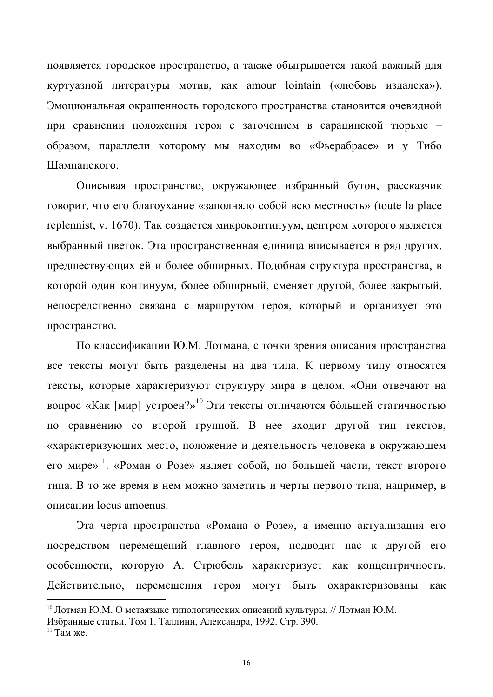появляется городское пространство, а также обыгрывается такой важный для куртуазной литературы мотив, как amour lointain («любовь издалека»). Эмоциональная окрашенность городского пространства становится очевидной при сравнении положения героя с заточением в сарацинской тюрьме образом, параллели которому мы находим во «Фьерабрасе» и у Тибо **Шампанского** 

Описывая пространство, окружающее избранный бутон, рассказчик говорит, что его благоухание «заполняло собой всю местность» (toute la place replennist, v. 1670). Так создается микроконтинуум, центром которого является выбранный цветок. Эта пространственная единица вписывается в ряд других, предшествующих ей и более обширных. Подобная структура пространства, в которой один континуум, более обширный, сменяет другой, более закрытый, непосредственно связана с маршрутом героя, который и организует это пространство.

По классификации Ю.М. Лотмана, с точки зрения описания пространства все тексты могут быть разделены на два типа. К первому типу относятся тексты, которые характеризуют структуру мира в целом. «Они отвечают на вопрос «Как [мир] устроен?»<sup>10</sup> Эти тексты отличаются большей статичностью по сравнению со второй группой. В нее входит другой тип текстов, «характеризующих место, положение и деятельность человека в окружающем его мире»<sup>11</sup>. «Роман о Розе» являет собой, по большей части, текст второго типа. В то же время в нем можно заметить и черты первого типа, например, в описании locus amoenus.

Эта черта пространства «Романа о Розе», а именно актуализация его посредством перемещений главного героя, подводит нас к другой его особенности, которую А. Стрюбель характеризует как концентричность. Действительно, перемещения героя могут быть охарактеризованы как

 $10$  Лотман Ю.М. О метаязыке типологических описаний культуры. // Лотман Ю.М.

Избранные статьи. Том 1. Таллинн, Александра, 1992. Стр. 390.

 $11$  Там же.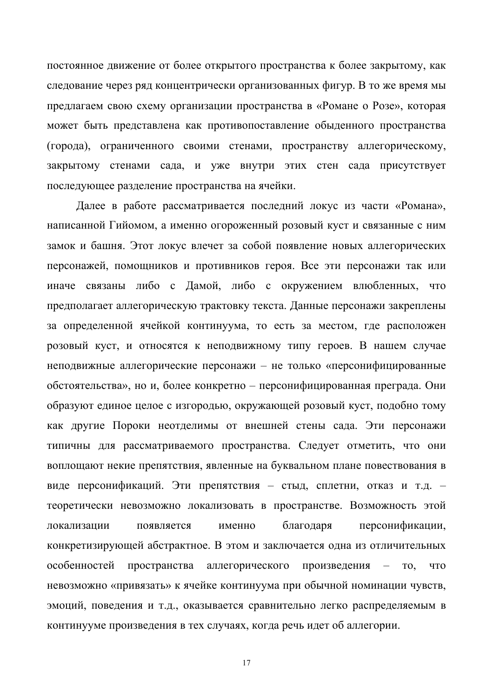постоянное движение от более открытого пространства к более закрытому, как следование через ряд концентрически организованных фигур. В то же время мы предлагаем свою схему организации пространства в «Романе о Розе», которая может быть представлена как противопоставление обыденного пространства (города), ограниченного своими стенами, пространству аллегорическому, закрытому стенами сада, и уже внутри этих стен сада присутствует последующее разделение пространства на ячейки.

Далее в работе рассматривается последний локус из части «Романа», написанной Гийомом, а именно огороженный розовый куст и связанные с ним замок и башня. Этот локус влечет за собой появление новых аллегорических персонажей, помощников и противников героя. Все эти персонажи так или иначе связаны либо с Дамой, либо с окружением влюбленных, что предполагает аллегорическую трактовку текста. Данные персонажи закреплены за определенной ячейкой континуума, то есть за местом, где расположен розовый куст, и относятся к неподвижному типу героев. В нашем случае неподвижные аллегорические персонажи - не только «персонифицированные обстоятельства», но и, более конкретно – персонифицированная преграда. Они образуют единое целое с изгородью, окружающей розовый куст, подобно тому как другие Пороки неотделимы от внешней стены сада. Эти персонажи типичны для рассматриваемого пространства. Следует отметить, что они воплощают некие препятствия, явленные на буквальном плане повествования в виде персонификаций. Эти препятствия - стыд, сплетни, отказ и т.д. теоретически невозможно локализовать в пространстве. Возможность этой локализации появляется именно благодаря персонификации, конкретизирующей абстрактное. В этом и заключается одна из отличительных особенностей пространства аллегорического произведения -TO. что невозможно «привязать» к ячейке континуума при обычной номинации чувств, эмоций, поведения и т.д., оказывается сравнительно легко распределяемым в континууме произведения в тех случаях, когда речь идет об аллегории.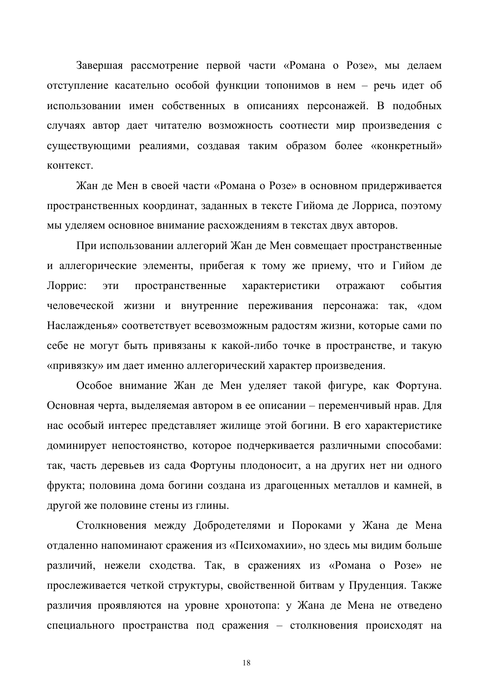Завершая рассмотрение первой части «Романа о Розе», мы делаем отступление касательно особой функции топонимов в нем - речь идет об использовании имен собственных в описаниях персонажей. В подобных случаях автор дает читателю возможность соотнести мир произведения с существующими реалиями, создавая таким образом более «конкретный» контекст.

Жан де Мен в своей части «Романа о Розе» в основном придерживается пространственных координат, заданных в тексте Гийома де Лорриса, поэтому мы уделяем основное внимание расхождениям в текстах двух авторов.

При использовании аллегорий Жан де Мен совмещает пространственные и аллегорические элементы, прибегая к тому же приему, что и Гийом де Лоррис: ЭТИ пространственные характеристики отражают события человеческой жизни и внутренние переживания персонажа: так, «дом Наслажденья» соответствует всевозможным радостям жизни, которые сами по себе не могут быть привязаны к какой-либо точке в пространстве, и такую «привязку» им дает именно аллегорический характер произведения.

Особое внимание Жан де Мен уделяет такой фигуре, как Фортуна. Основная черта, выделяемая автором в ее описании - переменчивый нрав. Для нас особый интерес представляет жилище этой богини. В его характеристике доминирует непостоянство, которое подчеркивается различными способами: так, часть деревьев из сада Фортуны плодоносит, а на других нет ни одного фрукта; половина дома богини создана из драгоценных металлов и камней, в другой же половине стены из глины.

Столкновения между Добродетелями и Пороками у Жана де Мена отдаленно напоминают сражения из «Психомахии», но здесь мы видим больше различий, нежели сходства. Так, в сражениях из «Романа о Розе» не прослеживается четкой структуры, свойственной битвам у Пруденция. Также различия проявляются на уровне хронотопа: у Жана де Мена не отведено специального пространства под сражения - столкновения происходят на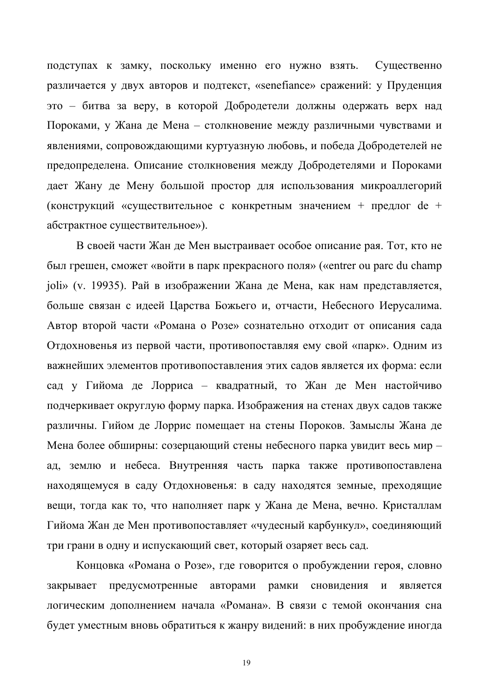подступах к замку, поскольку именно его нужно взять. Существенно различается у двух авторов и подтекст, «senefiance» сражений: у Пруденция это - битва за веру, в которой Добродетели должны одержать верх над Пороками, у Жана де Мена - столкновение между различными чувствами и явлениями, сопровождающими куртуазную любовь, и победа Добродетелей не предопределена. Описание столкновения между Добродетелями и Пороками дает Жану де Мену большой простор для использования микроаллегорий (конструкций «существительное с конкретным значением + предлог de + абстрактное существительное»).

В своей части Жан де Мен выстраивает особое описание рая. Тот, кто не был грешен, сможет «войти в парк прекрасного поля» («entrer ou parc du champ joli» (у. 19935). Рай в изображении Жана де Мена, как нам представляется, больше связан с идеей Царства Божьего и, отчасти, Небесного Иерусалима. Автор второй части «Романа о Розе» сознательно отходит от описания сада Отдохновенья из первой части, противопоставляя ему свой «парк». Одним из важнейших элементов противопоставления этих садов является их форма: если сад у Гийома де Лорриса - квадратный, то Жан де Мен настойчиво подчеркивает округлую форму парка. Изображения на стенах двух садов также различны. Гийом де Лоррис помещает на стены Пороков. Замыслы Жана де Мена более обширны: созерцающий стены небесного парка увидит весь мир ад, землю и небеса. Внутренняя часть парка также противопоставлена находящемуся в саду Отдохновенья: в саду находятся земные, преходящие вещи, тогда как то, что наполняет парк у Жана де Мена, вечно. Кристаллам Гийома Жан де Мен противопоставляет «чудесный карбункул», соединяющий три грани в одну и испускающий свет, который озаряет весь сад.

Концовка «Романа о Розе», где говорится о пробуждении героя, словно предусмотренные авторами рамки сновидения закрывает  $\overline{M}$ является логическим дополнением начала «Романа». В связи с темой окончания сна будет уместным вновь обратиться к жанру видений: в них пробуждение иногда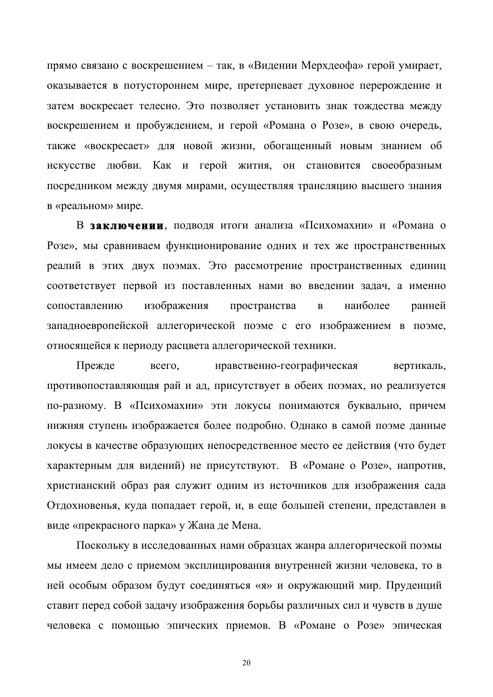прямо связано с воскрешением - так, в «Видении Мерхдеофа» герой умирает, оказывается в потустороннем мире, претерпевает духовное перерождение и затем воскресает телесно. Это позволяет установить знак тождества между воскрешением и пробуждением, и герой «Романа о Розе», в свою очередь, также «воскресает» для новой жизни, обогащенный новым знанием об искусстве любви. Как и герой жития, он становится своеобразным посредником между двумя мирами, осуществляя трансляцию высшего знания в «реальном» мире.

В заключении, подводя итоги анализа «Психомахии» и «Романа о Розе», мы сравниваем функционирование одних и тех же пространственных реалий в этих двух поэмах. Это рассмотрение пространственных единиц соответствует первой из поставленных нами во введении задач, а именно изображения наиболее сопоставлению пространства  $\bf{B}$ ранней западноевропейской аллегорической поэме с его изображением в поэме, относящейся к периоду расцвета аллегорической техники.

Прежде всего, нравственно-географическая вертикаль, противопоставляющая рай и ад, присутствует в обеих поэмах, но реализуется по-разному. В «Психомахии» эти локусы понимаются буквально, причем нижняя ступень изображается более подробно. Однако в самой поэме данные локусы в качестве образующих непосредственное место ее действия (что будет характерным для видений) не присутствуют. В «Романе о Розе», напротив, христианский образ рая служит одним из источников для изображения сада Отдохновенья, куда попадает герой, и, в еще большей степени, представлен в виде «прекрасного парка» у Жана де Мена.

Поскольку в исследованных нами образцах жанра аллегорической поэмы мы имеем дело с приемом эксплицирования внутренней жизни человека, то в ней особым образом будут соединяться «я» и окружающий мир. Пруденций ставит перед собой задачу изображения борьбы различных сил и чувств в душе человека с помощью эпических приемов. В «Романе о Розе» эпическая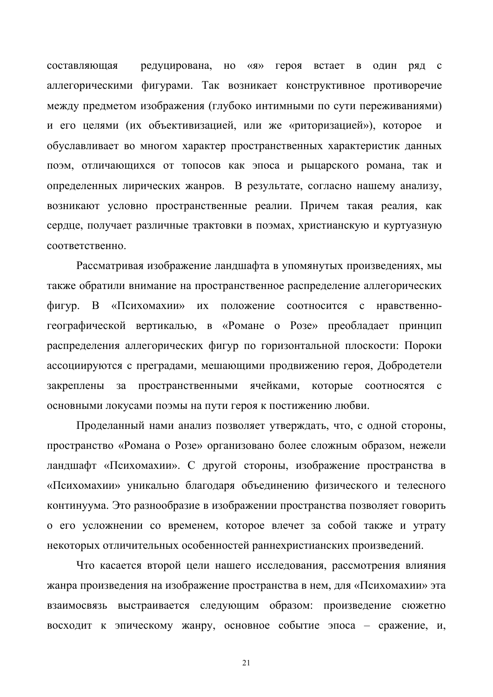редуцирована, но «я» героя встает в один ряд с составляющая аллегорическими фигурами. Так возникает конструктивное противоречие между предметом изображения (глубоко интимными по сути переживаниями) и его целями (их объективизацией, или же «риторизацией»), которое  $\mathbf{M}$ обуславливает во многом характер пространственных характеристик данных поэм, отличающихся от топосов как эпоса и рыцарского романа, так и определенных лирических жанров. В результате, согласно нашему анализу, возникают условно пространственные реалии. Причем такая реалия, как сердце, получает различные трактовки в поэмах, христианскую и куртуазную соответственно.

Рассматривая изображение ландшафта в упомянутых произведениях, мы также обратили внимание на пространственное распределение аллегорических  $\phi$ *MFVD.* B «Психомахии» положение соотносится с нравственно-ИХ географической вертикалью, в «Романе о Розе» преобладает принцип распределения аллегорических фигур по горизонтальной плоскости: Пороки ассоциируются с преградами, мешающими продвижению героя, Добродетели пространственными ячейками, которые соотносятся с закреплены за основными локусами поэмы на пути героя к постижению любви.

Проделанный нами анализ позволяет утверждать, что, с одной стороны, пространство «Романа о Розе» организовано более сложным образом, нежели ландшафт «Психомахии». С другой стороны, изображение пространства в «Психомахии» уникально благодаря объединению физического и телесного континуума. Это разнообразие в изображении пространства позволяет говорить о его усложнении со временем, которое влечет за собой также и утрату некоторых отличительных особенностей раннехристианских произведений.

Что касается второй цели нашего исследования, рассмотрения влияния жанра произведения на изображение пространства в нем, для «Психомахии» эта взаимосвязь выстраивается следующим образом: произведение сюжетно восходит к эпическому жанру, основное событие эпоса - сражение, и,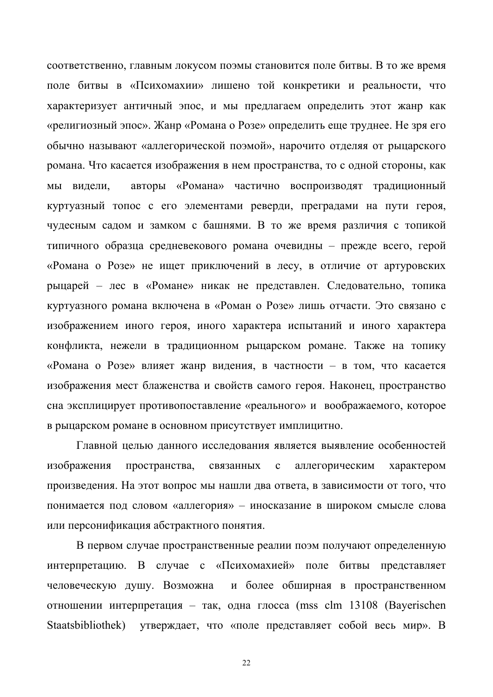соответственно, главным локусом поэмы становится поле битвы. В то же время поле битвы в «Психомахии» лишено той конкретики и реальности, что характеризует античный эпос, и мы предлагаем определить этот жанр как «религиозный эпос». Жанр «Романа о Розе» определить еще труднее. Не зря его обычно называют «аллегорической поэмой», нарочито отделяя от рыцарского романа. Что касается изображения в нем пространства, то с одной стороны, как авторы «Романа» частично воспроизводят традиционный МЫ видели, куртуазный топос с его элементами реверди, преградами на пути героя, чудесным садом и замком с башнями. В то же время различия с топикой типичного образца средневекового романа очевидны - прежде всего, герой «Романа о Розе» не ищет приключений в лесу, в отличие от артуровских рыцарей - лес в «Романе» никак не представлен. Следовательно, топика куртуазного романа включена в «Роман о Розе» лишь отчасти. Это связано с изображением иного героя, иного характера испытаний и иного характера конфликта, нежели в традиционном рыцарском романе. Также на топику «Романа о Розе» влияет жанр видения, в частности - в том, что касается изображения мест блаженства и свойств самого героя. Наконец, пространство сна эксплицирует противопоставление «реального» и воображаемого, которое в рыцарском романе в основном присутствует имплицитно.

Главной целью данного исследования является выявление особенностей изображения пространства, связанных  $\mathbf{c}$ аллегорическим характером произведения. На этот вопрос мы нашли два ответа, в зависимости от того, что понимается под словом «аллегория» - иносказание в широком смысле слова или персонификация абстрактного понятия.

В первом случае пространственные реалии поэм получают определенную интерпретацию. В случае с «Психомахией» поле битвы представляет человеческую душу. Возможна и более обширная в пространственном отношении интерпретация - так, одна глосса (mss clm 13108 (Bayerischen Staatsbibliothek) утверждает, что «поле представляет собой весь мир». В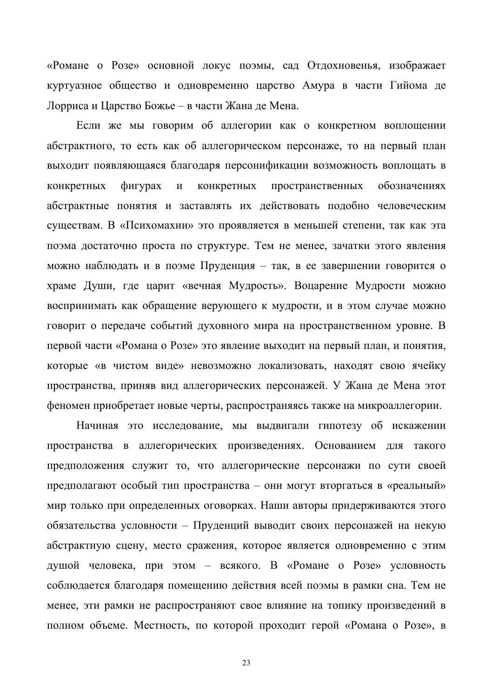«Романе о Розе» основной локус поэмы, сад Отдохновенья, изображает куртуазное общество и одновременно царство Амура в части Гийома де Лорриса и Царство Божье – в части Жана де Мена.

Если же мы говорим об аллегории как о конкретном воплощении абстрактного, то есть как об аллегорическом персонаже, то на первый план выходит появляющаяся благодаря персонификации возможность воплощать в конкретных пространственных конкретных **фигурах**  $\boldsymbol{\mathrm{M}}$ обозначениях абстрактные понятия и заставлять их действовать подобно человеческим существам. В «Психомахии» это проявляется в меньшей степени, так как эта поэма достаточно проста по структуре. Тем не менее, зачатки этого явления можно наблюдать и в поэме Пруденция - так, в ее завершении говорится о храме Души, где царит «вечная Мудрость». Воцарение Мудрости можно воспринимать как обращение верующего к мудрости, и в этом случае можно говорит о передаче событий духовного мира на пространственном уровне. В первой части «Романа о Розе» это явление выходит на первый план, и понятия, которые «в чистом виде» невозможно локализовать, находят свою ячейку пространства, приняв вид аллегорических персонажей. У Жана де Мена этот феномен приобретает новые черты, распространяясь также на микроаллегории.

Начиная это исследование, мы выдвигали гипотезу об искажении пространства в аллегорических произведениях. Основанием для такого предположения служит то, что аллегорические персонажи по сути своей предполагают особый тип пространства - они могут вторгаться в «реальный» мир только при определенных оговорках. Наши авторы придерживаются этого обязательства условности - Пруденций выводит своих персонажей на некую абстрактную сцену, место сражения, которое является одновременно с этим душой человека, при этом - всякого. В «Романе о Розе» условность соблюдается благодаря помещению действия всей поэмы в рамки сна. Тем не менее, эти рамки не распространяют свое влияние на топику произведений в полном объеме. Местность, по которой проходит герой «Романа о Розе», в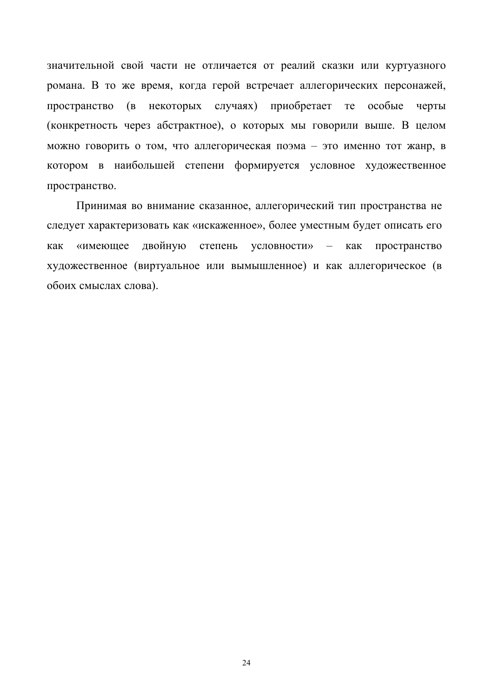значительной свой части не отличается от реалий сказки или куртуазного романа. В то же время, когда герой встречает аллегорических персонажей, пространство (в некоторых случаях) приобретает те особые черты (конкретность через абстрактное), о которых мы говорили выше. В целом можно говорить о том, что аллегорическая поэма - это именно тот жанр, в котором в наибольшей степени формируется условное художественное пространство.

Принимая во внимание сказанное, аллегорический тип пространства не следует характеризовать как «искаженное», более уместным будет описать его «имеющее двойную степень условности» пространство как  $\equiv$ как художественное (виртуальное или вымышленное) и как аллегорическое (в обоих смыслах слова).